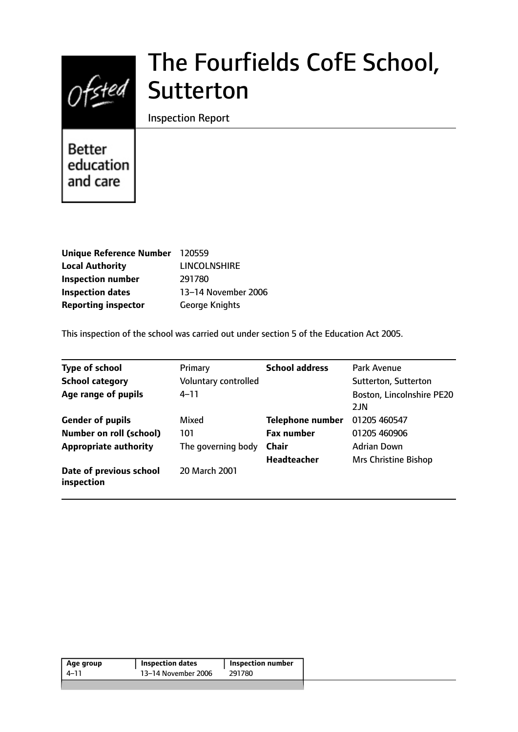# $Of$ sted

# The Fourfields CofE School, **Sutterton**

Inspection Report

**Better** education and care

| Unique Reference Number 120559 |                       |
|--------------------------------|-----------------------|
| <b>Local Authority</b>         | <b>LINCOLNSHIRE</b>   |
| <b>Inspection number</b>       | 291780                |
| <b>Inspection dates</b>        | 13-14 November 2006   |
| <b>Reporting inspector</b>     | <b>George Knights</b> |

This inspection of the school was carried out under section 5 of the Education Act 2005.

| <b>Type of school</b>                 | Primary              | <b>School address</b>   | Park Avenue                 |
|---------------------------------------|----------------------|-------------------------|-----------------------------|
| <b>School category</b>                | Voluntary controlled |                         | Sutterton, Sutterton        |
| Age range of pupils                   | 4–11                 |                         | Boston, Lincolnshire PE20   |
|                                       |                      |                         | 2JN                         |
| <b>Gender of pupils</b>               | Mixed                | <b>Telephone number</b> | 01205 460547                |
| <b>Number on roll (school)</b>        | 101                  | <b>Fax number</b>       | 01205 460906                |
| <b>Appropriate authority</b>          | The governing body   | <b>Chair</b>            | <b>Adrian Down</b>          |
|                                       |                      | <b>Headteacher</b>      | <b>Mrs Christine Bishop</b> |
| Date of previous school<br>inspection | 20 March 2001        |                         |                             |

| Age group | <b>Inspection dates</b> | <b>Inspection number</b> |
|-----------|-------------------------|--------------------------|
| 4–11      | 13–14 November 2006     | 291780                   |
|           |                         |                          |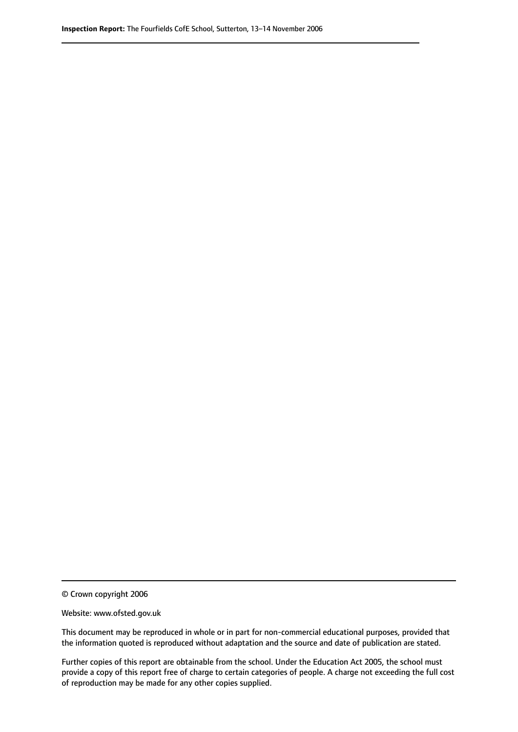© Crown copyright 2006

Website: www.ofsted.gov.uk

This document may be reproduced in whole or in part for non-commercial educational purposes, provided that the information quoted is reproduced without adaptation and the source and date of publication are stated.

Further copies of this report are obtainable from the school. Under the Education Act 2005, the school must provide a copy of this report free of charge to certain categories of people. A charge not exceeding the full cost of reproduction may be made for any other copies supplied.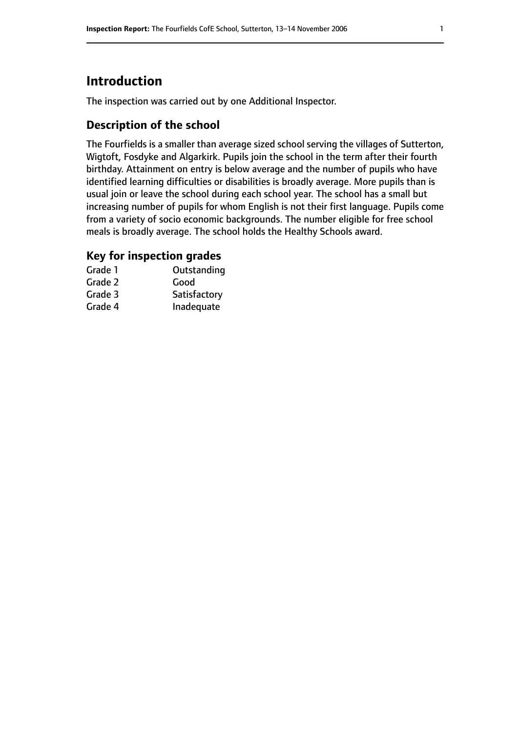# **Introduction**

The inspection was carried out by one Additional Inspector.

#### **Description of the school**

The Fourfields is a smaller than average sized school serving the villages of Sutterton, Wigtoft, Fosdyke and Algarkirk. Pupils join the school in the term after their fourth birthday. Attainment on entry is below average and the number of pupils who have identified learning difficulties or disabilities is broadly average. More pupils than is usual join or leave the school during each school year. The school has a small but increasing number of pupils for whom English is not their first language. Pupils come from a variety of socio economic backgrounds. The number eligible for free school meals is broadly average. The school holds the Healthy Schools award.

#### **Key for inspection grades**

| Grade 1 | Outstanding  |
|---------|--------------|
| Grade 2 | Good         |
| Grade 3 | Satisfactory |
| Grade 4 | Inadequate   |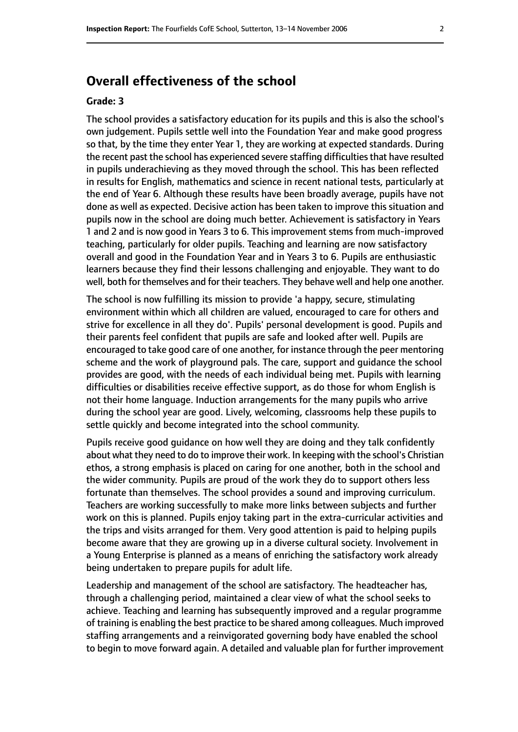# **Overall effectiveness of the school**

#### **Grade: 3**

The school provides a satisfactory education for its pupils and this is also the school's own judgement. Pupils settle well into the Foundation Year and make good progress so that, by the time they enter Year 1, they are working at expected standards. During the recent past the school has experienced severe staffing difficulties that have resulted in pupils underachieving as they moved through the school. This has been reflected in results for English, mathematics and science in recent national tests, particularly at the end of Year 6. Although these results have been broadly average, pupils have not done as well as expected. Decisive action has been taken to improve this situation and pupils now in the school are doing much better. Achievement is satisfactory in Years 1 and 2 and is now good in Years 3 to 6. This improvement stems from much-improved teaching, particularly for older pupils. Teaching and learning are now satisfactory overall and good in the Foundation Year and in Years 3 to 6. Pupils are enthusiastic learners because they find their lessons challenging and enjoyable. They want to do well, both for themselves and for their teachers. They behave well and help one another.

The school is now fulfilling its mission to provide 'a happy, secure, stimulating environment within which all children are valued, encouraged to care for others and strive for excellence in all they do'. Pupils' personal development is good. Pupils and their parents feel confident that pupils are safe and looked after well. Pupils are encouraged to take good care of one another, for instance through the peer mentoring scheme and the work of playground pals. The care, support and guidance the school provides are good, with the needs of each individual being met. Pupils with learning difficulties or disabilities receive effective support, as do those for whom English is not their home language. Induction arrangements for the many pupils who arrive during the school year are good. Lively, welcoming, classrooms help these pupils to settle quickly and become integrated into the school community.

Pupils receive good guidance on how well they are doing and they talk confidently about what they need to do to improve their work. In keeping with the school's Christian ethos, a strong emphasis is placed on caring for one another, both in the school and the wider community. Pupils are proud of the work they do to support others less fortunate than themselves. The school provides a sound and improving curriculum. Teachers are working successfully to make more links between subjects and further work on this is planned. Pupils enjoy taking part in the extra-curricular activities and the trips and visits arranged for them. Very good attention is paid to helping pupils become aware that they are growing up in a diverse cultural society. Involvement in a Young Enterprise is planned as a means of enriching the satisfactory work already being undertaken to prepare pupils for adult life.

Leadership and management of the school are satisfactory. The headteacher has, through a challenging period, maintained a clear view of what the school seeks to achieve. Teaching and learning has subsequently improved and a regular programme of training is enabling the best practice to be shared among colleagues. Much improved staffing arrangements and a reinvigorated governing body have enabled the school to begin to move forward again. A detailed and valuable plan for further improvement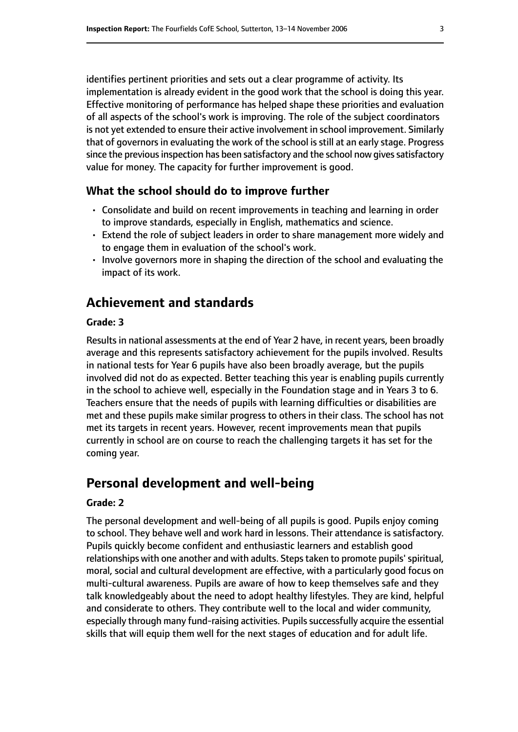identifies pertinent priorities and sets out a clear programme of activity. Its implementation is already evident in the good work that the school is doing this year. Effective monitoring of performance has helped shape these priorities and evaluation of all aspects of the school's work is improving. The role of the subject coordinators is not yet extended to ensure their active involvement in school improvement. Similarly that of governors in evaluating the work of the school is still at an early stage. Progress since the previous inspection has been satisfactory and the school now gives satisfactory value for money. The capacity for further improvement is good.

#### **What the school should do to improve further**

- Consolidate and build on recent improvements in teaching and learning in order to improve standards, especially in English, mathematics and science.
- Extend the role of subject leaders in order to share management more widely and to engage them in evaluation of the school's work.
- Involve governors more in shaping the direction of the school and evaluating the impact of its work.

# **Achievement and standards**

#### **Grade: 3**

Results in national assessments at the end of Year 2 have, in recent years, been broadly average and this represents satisfactory achievement for the pupils involved. Results in national tests for Year 6 pupils have also been broadly average, but the pupils involved did not do as expected. Better teaching this year is enabling pupils currently in the school to achieve well, especially in the Foundation stage and in Years 3 to 6. Teachers ensure that the needs of pupils with learning difficulties or disabilities are met and these pupils make similar progress to others in their class. The school has not met its targets in recent years. However, recent improvements mean that pupils currently in school are on course to reach the challenging targets it has set for the coming year.

# **Personal development and well-being**

#### **Grade: 2**

The personal development and well-being of all pupils is good. Pupils enjoy coming to school. They behave well and work hard in lessons. Their attendance is satisfactory. Pupils quickly become confident and enthusiastic learners and establish good relationships with one another and with adults. Steps taken to promote pupils' spiritual, moral, social and cultural development are effective, with a particularly good focus on multi-cultural awareness. Pupils are aware of how to keep themselves safe and they talk knowledgeably about the need to adopt healthy lifestyles. They are kind, helpful and considerate to others. They contribute well to the local and wider community, especially through many fund-raising activities. Pupils successfully acquire the essential skills that will equip them well for the next stages of education and for adult life.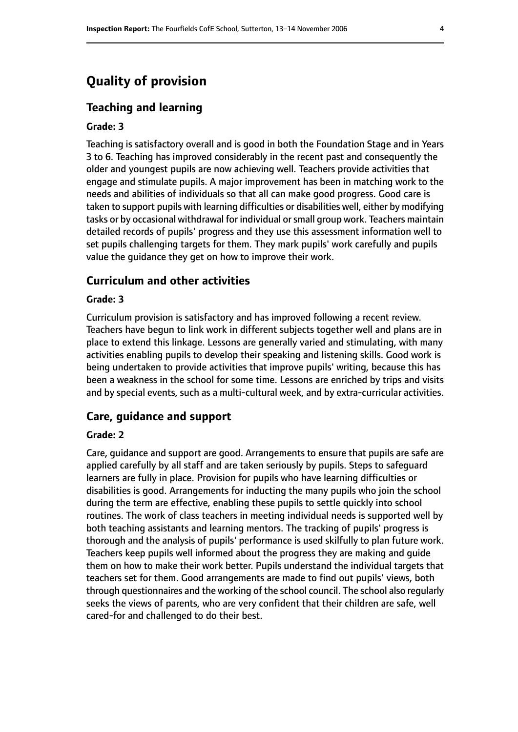# **Quality of provision**

#### **Teaching and learning**

#### **Grade: 3**

Teaching is satisfactory overall and is good in both the Foundation Stage and in Years 3 to 6. Teaching has improved considerably in the recent past and consequently the older and youngest pupils are now achieving well. Teachers provide activities that engage and stimulate pupils. A major improvement has been in matching work to the needs and abilities of individuals so that all can make good progress. Good care is taken to support pupils with learning difficulties or disabilities well, either by modifying tasks or by occasional withdrawal for individual orsmall group work. Teachers maintain detailed records of pupils' progress and they use this assessment information well to set pupils challenging targets for them. They mark pupils' work carefully and pupils value the guidance they get on how to improve their work.

#### **Curriculum and other activities**

#### **Grade: 3**

Curriculum provision is satisfactory and has improved following a recent review. Teachers have begun to link work in different subjects together well and plans are in place to extend this linkage. Lessons are generally varied and stimulating, with many activities enabling pupils to develop their speaking and listening skills. Good work is being undertaken to provide activities that improve pupils' writing, because this has been a weakness in the school for some time. Lessons are enriched by trips and visits and by special events, such as a multi-cultural week, and by extra-curricular activities.

#### **Care, guidance and support**

#### **Grade: 2**

Care, guidance and support are good. Arrangements to ensure that pupils are safe are applied carefully by all staff and are taken seriously by pupils. Steps to safeguard learners are fully in place. Provision for pupils who have learning difficulties or disabilities is good. Arrangements for inducting the many pupils who join the school during the term are effective, enabling these pupils to settle quickly into school routines. The work of class teachers in meeting individual needs is supported well by both teaching assistants and learning mentors. The tracking of pupils' progress is thorough and the analysis of pupils' performance is used skilfully to plan future work. Teachers keep pupils well informed about the progress they are making and guide them on how to make their work better. Pupils understand the individual targets that teachers set for them. Good arrangements are made to find out pupils' views, both through questionnaires and the working of the school council. The school also regularly seeks the views of parents, who are very confident that their children are safe, well cared-for and challenged to do their best.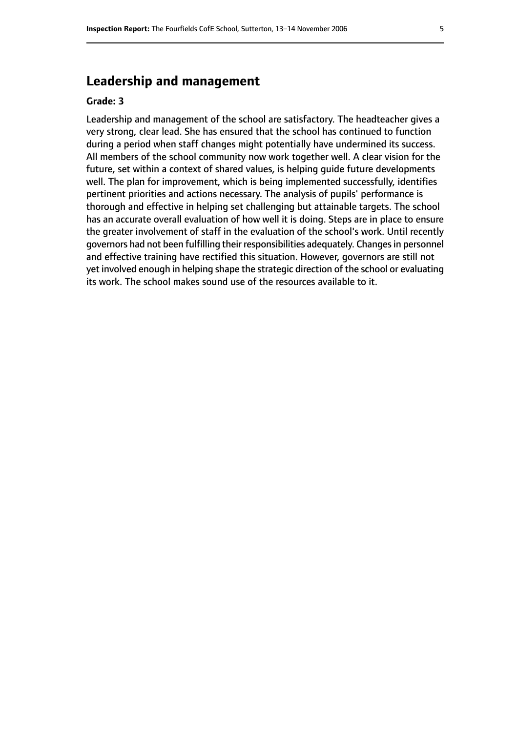# **Leadership and management**

#### **Grade: 3**

Leadership and management of the school are satisfactory. The headteacher gives a very strong, clear lead. She has ensured that the school has continued to function during a period when staff changes might potentially have undermined its success. All members of the school community now work together well. A clear vision for the future, set within a context of shared values, is helping guide future developments well. The plan for improvement, which is being implemented successfully, identifies pertinent priorities and actions necessary. The analysis of pupils' performance is thorough and effective in helping set challenging but attainable targets. The school has an accurate overall evaluation of how well it is doing. Steps are in place to ensure the greater involvement of staff in the evaluation of the school's work. Until recently governors had not been fulfilling their responsibilities adequately. Changes in personnel and effective training have rectified this situation. However, governors are still not yet involved enough in helping shape the strategic direction of the school or evaluating its work. The school makes sound use of the resources available to it.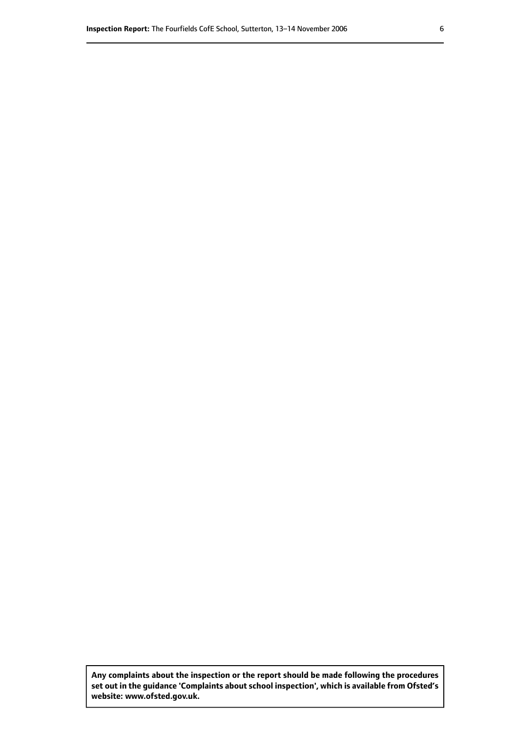**Any complaints about the inspection or the report should be made following the procedures set out inthe guidance 'Complaints about school inspection', whichis available from Ofsted's website: www.ofsted.gov.uk.**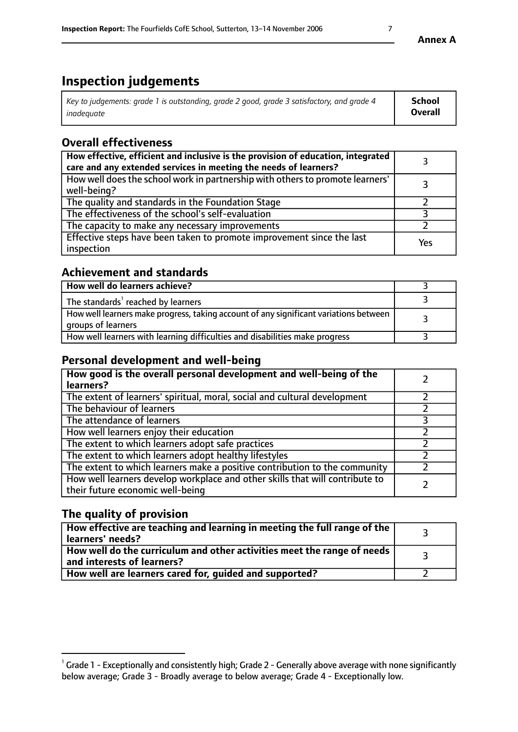# **Inspection judgements**

| Key to judgements: grade 1 is outstanding, grade 2 good, grade 3 satisfactory, and grade 4 | School         |
|--------------------------------------------------------------------------------------------|----------------|
| inadequate                                                                                 | <b>Overall</b> |

# **Overall effectiveness**

| How effective, efficient and inclusive is the provision of education, integrated<br>care and any extended services in meeting the needs of learners? |     |
|------------------------------------------------------------------------------------------------------------------------------------------------------|-----|
| How well does the school work in partnership with others to promote learners'<br>well-being?                                                         |     |
| The quality and standards in the Foundation Stage                                                                                                    |     |
| The effectiveness of the school's self-evaluation                                                                                                    |     |
| The capacity to make any necessary improvements                                                                                                      |     |
| Effective steps have been taken to promote improvement since the last<br>inspection                                                                  | Yes |

#### **Achievement and standards**

| How well do learners achieve?                                                                               |  |
|-------------------------------------------------------------------------------------------------------------|--|
| The standards <sup>1</sup> reached by learners                                                              |  |
| How well learners make progress, taking account of any significant variations between<br>groups of learners |  |
| How well learners with learning difficulties and disabilities make progress                                 |  |

## **Personal development and well-being**

| How good is the overall personal development and well-being of the<br>learners?                                  |  |
|------------------------------------------------------------------------------------------------------------------|--|
| The extent of learners' spiritual, moral, social and cultural development                                        |  |
| The behaviour of learners                                                                                        |  |
| The attendance of learners                                                                                       |  |
| How well learners enjoy their education                                                                          |  |
| The extent to which learners adopt safe practices                                                                |  |
| The extent to which learners adopt healthy lifestyles                                                            |  |
| The extent to which learners make a positive contribution to the community                                       |  |
| How well learners develop workplace and other skills that will contribute to<br>their future economic well-being |  |

### **The quality of provision**

| How effective are teaching and learning in meeting the full range of the<br>  learners' needs?               |  |
|--------------------------------------------------------------------------------------------------------------|--|
| How well do the curriculum and other activities meet the range of needs<br>$\mid$ and interests of learners? |  |
| How well are learners cared for, quided and supported?                                                       |  |

 $^1$  Grade 1 - Exceptionally and consistently high; Grade 2 - Generally above average with none significantly below average; Grade 3 - Broadly average to below average; Grade 4 - Exceptionally low.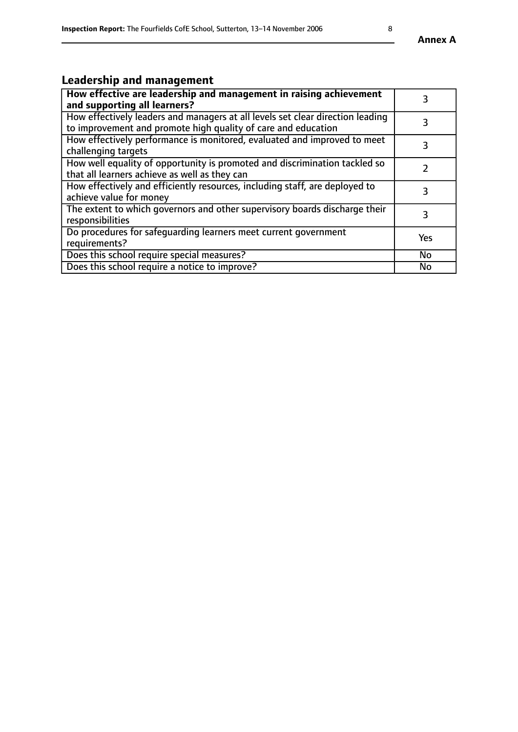# **Leadership and management**

| How effective are leadership and management in raising achievement<br>and supporting all learners?                                              |           |
|-------------------------------------------------------------------------------------------------------------------------------------------------|-----------|
| How effectively leaders and managers at all levels set clear direction leading<br>to improvement and promote high quality of care and education |           |
| How effectively performance is monitored, evaluated and improved to meet<br>challenging targets                                                 | 3         |
| How well equality of opportunity is promoted and discrimination tackled so<br>that all learners achieve as well as they can                     |           |
| How effectively and efficiently resources, including staff, are deployed to<br>achieve value for money                                          | 3         |
| The extent to which governors and other supervisory boards discharge their<br>responsibilities                                                  | 3         |
| Do procedures for safequarding learners meet current government<br>requirements?                                                                | Yes       |
| Does this school require special measures?                                                                                                      | No        |
| Does this school require a notice to improve?                                                                                                   | <b>No</b> |